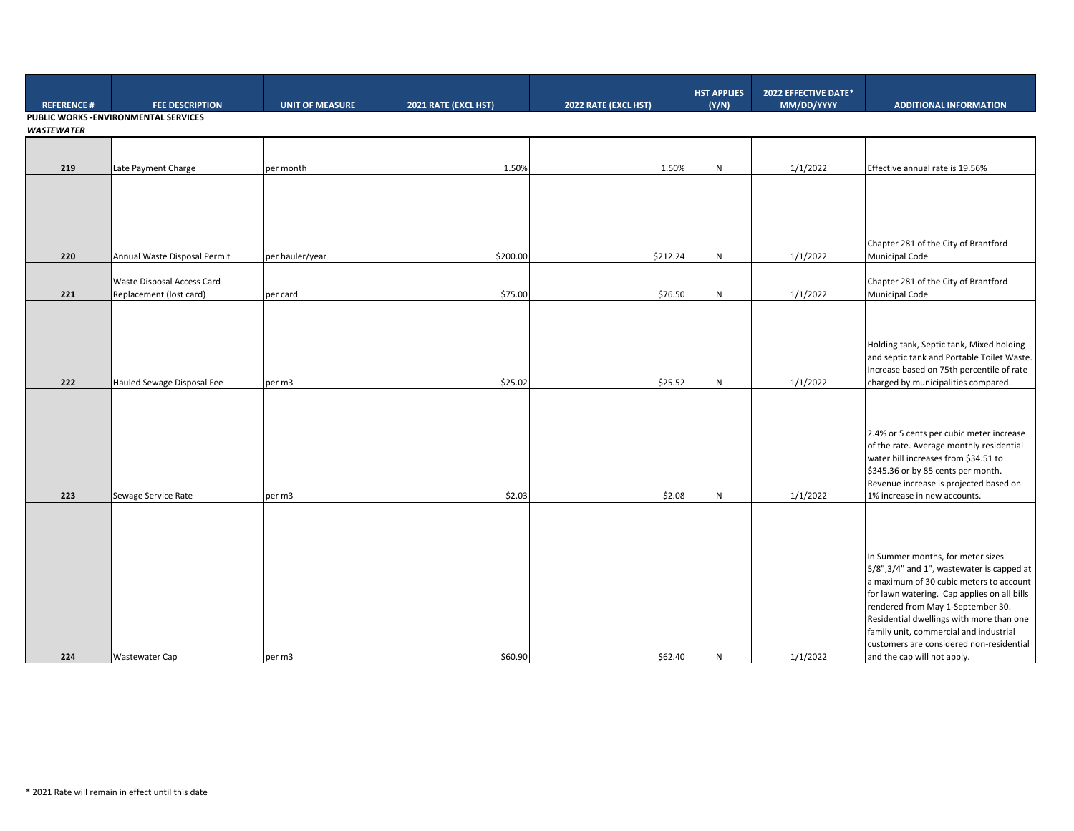| <b>REFERENCE#</b> | <b>FEE DESCRIPTION</b>                | <b>UNIT OF MEASURE</b> | 2021 RATE (EXCL HST) | 2022 RATE (EXCL HST) | <b>HST APPLIES</b><br>(Y/N) | 2022 EFFECTIVE DATE*<br>MM/DD/YYYY | <b>ADDITIONAL INFORMATION</b>                                                        |
|-------------------|---------------------------------------|------------------------|----------------------|----------------------|-----------------------------|------------------------------------|--------------------------------------------------------------------------------------|
|                   | PUBLIC WORKS - ENVIRONMENTAL SERVICES |                        |                      |                      |                             |                                    |                                                                                      |
| <b>WASTEWATER</b> |                                       |                        |                      |                      |                             |                                    |                                                                                      |
|                   |                                       |                        |                      |                      |                             |                                    |                                                                                      |
| 219               | Late Payment Charge                   | per month              | 1.50%                | 1.50%                | ${\sf N}$                   | 1/1/2022                           | Effective annual rate is 19.56%                                                      |
|                   |                                       |                        |                      |                      |                             |                                    |                                                                                      |
|                   |                                       |                        |                      |                      |                             |                                    |                                                                                      |
|                   |                                       |                        |                      |                      |                             |                                    |                                                                                      |
|                   |                                       |                        |                      |                      |                             |                                    |                                                                                      |
|                   |                                       |                        |                      |                      |                             |                                    | Chapter 281 of the City of Brantford                                                 |
| 220               | Annual Waste Disposal Permit          | per hauler/year        | \$200.00             | \$212.24             | N                           | 1/1/2022                           | <b>Municipal Code</b>                                                                |
|                   | Waste Disposal Access Card            |                        |                      |                      |                             |                                    | Chapter 281 of the City of Brantford                                                 |
| 221               | Replacement (lost card)               | per card               | \$75.00              | \$76.50              | ${\sf N}$                   | 1/1/2022                           | <b>Municipal Code</b>                                                                |
|                   |                                       |                        |                      |                      |                             |                                    |                                                                                      |
|                   |                                       |                        |                      |                      |                             |                                    |                                                                                      |
|                   |                                       |                        |                      |                      |                             |                                    | Holding tank, Septic tank, Mixed holding                                             |
|                   |                                       |                        |                      |                      |                             |                                    | and septic tank and Portable Toilet Waste.                                           |
|                   |                                       |                        |                      |                      |                             |                                    | Increase based on 75th percentile of rate                                            |
| 222               | Hauled Sewage Disposal Fee            | per m3                 | \$25.02              | \$25.52              | N                           | 1/1/2022                           | charged by municipalities compared.                                                  |
|                   |                                       |                        |                      |                      |                             |                                    |                                                                                      |
|                   |                                       |                        |                      |                      |                             |                                    |                                                                                      |
|                   |                                       |                        |                      |                      |                             |                                    | 2.4% or 5 cents per cubic meter increase                                             |
|                   |                                       |                        |                      |                      |                             |                                    | of the rate. Average monthly residential                                             |
|                   |                                       |                        |                      |                      |                             |                                    | water bill increases from \$34.51 to<br>\$345.36 or by 85 cents per month.           |
|                   |                                       |                        |                      |                      |                             |                                    | Revenue increase is projected based on                                               |
| 223               | Sewage Service Rate                   | per m3                 | \$2.03               | \$2.08               | ${\sf N}$                   | 1/1/2022                           | 1% increase in new accounts.                                                         |
|                   |                                       |                        |                      |                      |                             |                                    |                                                                                      |
|                   |                                       |                        |                      |                      |                             |                                    |                                                                                      |
|                   |                                       |                        |                      |                      |                             |                                    |                                                                                      |
|                   |                                       |                        |                      |                      |                             |                                    | In Summer months, for meter sizes                                                    |
|                   |                                       |                        |                      |                      |                             |                                    | 5/8",3/4" and 1", wastewater is capped at<br>a maximum of 30 cubic meters to account |
|                   |                                       |                        |                      |                      |                             |                                    | for lawn watering. Cap applies on all bills                                          |
|                   |                                       |                        |                      |                      |                             |                                    | rendered from May 1-September 30.                                                    |
|                   |                                       |                        |                      |                      |                             |                                    | Residential dwellings with more than one                                             |
|                   |                                       |                        |                      |                      |                             |                                    | family unit, commercial and industrial<br>customers are considered non-residential   |
| 224               | <b>Wastewater Cap</b>                 | per m3                 | \$60.90              | \$62.40              | ${\sf N}$                   | 1/1/2022                           | and the cap will not apply.                                                          |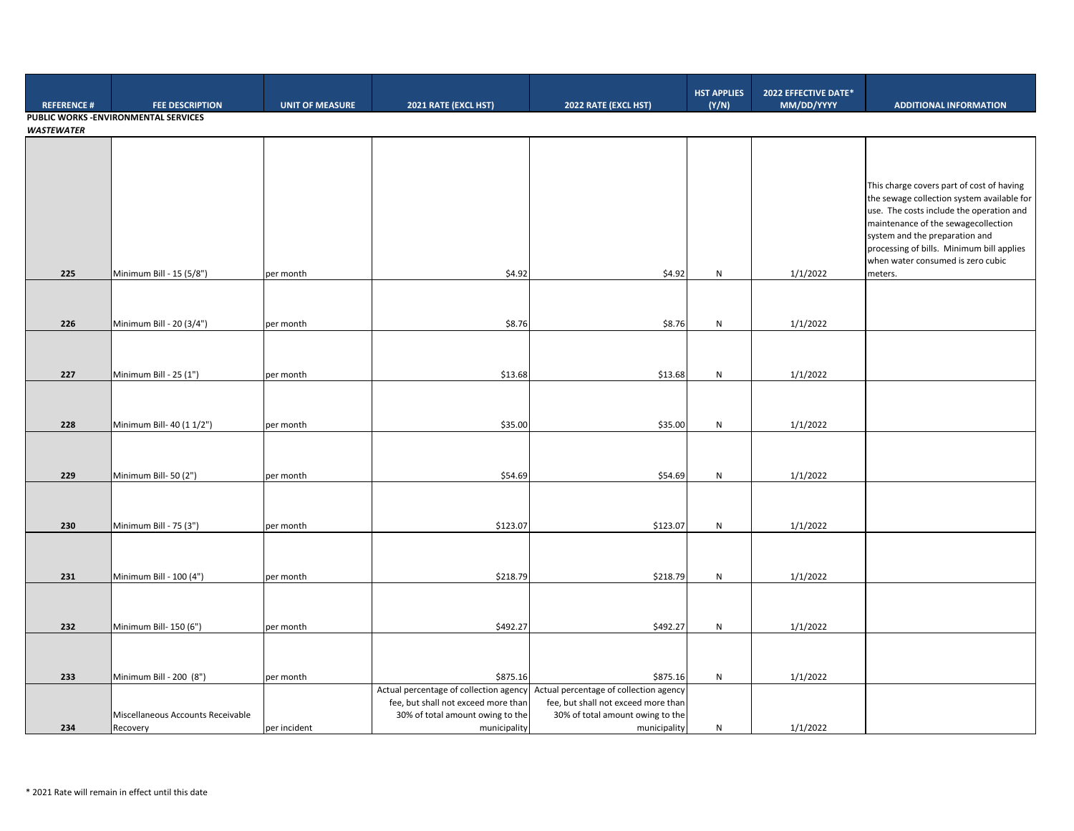|                                       |                                   |                        |                                                                               |                                                                               | <b>HST APPLIES</b> | 2022 EFFECTIVE DATE* |                                                                       |  |  |
|---------------------------------------|-----------------------------------|------------------------|-------------------------------------------------------------------------------|-------------------------------------------------------------------------------|--------------------|----------------------|-----------------------------------------------------------------------|--|--|
| <b>REFERENCE#</b>                     | <b>FEE DESCRIPTION</b>            | <b>UNIT OF MEASURE</b> | 2021 RATE (EXCL HST)                                                          | 2022 RATE (EXCL HST)                                                          | (Y/N)              | MM/DD/YYYY           | <b>ADDITIONAL INFORMATION</b>                                         |  |  |
| PUBLIC WORKS - ENVIRONMENTAL SERVICES |                                   |                        |                                                                               |                                                                               |                    |                      |                                                                       |  |  |
| <b>WASTEWATER</b>                     |                                   |                        |                                                                               |                                                                               |                    |                      |                                                                       |  |  |
|                                       |                                   |                        |                                                                               |                                                                               |                    |                      |                                                                       |  |  |
|                                       |                                   |                        |                                                                               |                                                                               |                    |                      |                                                                       |  |  |
|                                       |                                   |                        |                                                                               |                                                                               |                    |                      | This charge covers part of cost of having                             |  |  |
|                                       |                                   |                        |                                                                               |                                                                               |                    |                      | the sewage collection system available for                            |  |  |
|                                       |                                   |                        |                                                                               |                                                                               |                    |                      | use. The costs include the operation and                              |  |  |
|                                       |                                   |                        |                                                                               |                                                                               |                    |                      | maintenance of the sewagecollection<br>system and the preparation and |  |  |
|                                       |                                   |                        |                                                                               |                                                                               |                    |                      | processing of bills. Minimum bill applies                             |  |  |
|                                       |                                   |                        |                                                                               |                                                                               |                    |                      | when water consumed is zero cubic                                     |  |  |
| 225                                   | Minimum Bill - 15 (5/8")          | per month              | \$4.92                                                                        | \$4.92                                                                        | ${\sf N}$          | 1/1/2022             | meters.                                                               |  |  |
|                                       |                                   |                        |                                                                               |                                                                               |                    |                      |                                                                       |  |  |
|                                       |                                   |                        |                                                                               |                                                                               |                    |                      |                                                                       |  |  |
| 226                                   | Minimum Bill - 20 (3/4")          | per month              | \$8.76                                                                        | \$8.76                                                                        | N                  | 1/1/2022             |                                                                       |  |  |
|                                       |                                   |                        |                                                                               |                                                                               |                    |                      |                                                                       |  |  |
|                                       |                                   |                        |                                                                               |                                                                               |                    |                      |                                                                       |  |  |
| 227                                   | Minimum Bill - 25 (1")            | per month              | \$13.68                                                                       | \$13.68                                                                       | N                  | 1/1/2022             |                                                                       |  |  |
|                                       |                                   |                        |                                                                               |                                                                               |                    |                      |                                                                       |  |  |
|                                       |                                   |                        |                                                                               |                                                                               |                    |                      |                                                                       |  |  |
| 228                                   | Minimum Bill- 40 (1 1/2")         | per month              | \$35.00                                                                       | \$35.00                                                                       | N                  | 1/1/2022             |                                                                       |  |  |
|                                       |                                   |                        |                                                                               |                                                                               |                    |                      |                                                                       |  |  |
|                                       |                                   |                        |                                                                               |                                                                               |                    |                      |                                                                       |  |  |
| 229                                   | Minimum Bill-50 (2")              | per month              | \$54.69                                                                       | \$54.69                                                                       | N                  | 1/1/2022             |                                                                       |  |  |
|                                       |                                   |                        |                                                                               |                                                                               |                    |                      |                                                                       |  |  |
|                                       |                                   |                        |                                                                               |                                                                               |                    |                      |                                                                       |  |  |
| 230                                   | Minimum Bill - 75 (3")            | per month              | \$123.07                                                                      | \$123.07                                                                      | N                  | 1/1/2022             |                                                                       |  |  |
|                                       |                                   |                        |                                                                               |                                                                               |                    |                      |                                                                       |  |  |
|                                       |                                   |                        |                                                                               |                                                                               |                    |                      |                                                                       |  |  |
|                                       |                                   |                        |                                                                               |                                                                               |                    |                      |                                                                       |  |  |
| 231                                   | Minimum Bill - 100 (4")           | per month              | \$218.79                                                                      | \$218.79                                                                      | ${\sf N}$          | 1/1/2022             |                                                                       |  |  |
|                                       |                                   |                        |                                                                               |                                                                               |                    |                      |                                                                       |  |  |
|                                       |                                   |                        |                                                                               |                                                                               |                    |                      |                                                                       |  |  |
| 232                                   | Minimum Bill- 150 (6")            | per month              | \$492.27                                                                      | \$492.27                                                                      | N                  | 1/1/2022             |                                                                       |  |  |
|                                       |                                   |                        |                                                                               |                                                                               |                    |                      |                                                                       |  |  |
|                                       |                                   |                        |                                                                               |                                                                               |                    |                      |                                                                       |  |  |
| 233                                   | Minimum Bill - 200 (8")           | per month              | \$875.16                                                                      | \$875.16                                                                      | N                  | 1/1/2022             |                                                                       |  |  |
|                                       |                                   |                        | Actual percentage of collection agency<br>fee, but shall not exceed more than | Actual percentage of collection agency<br>fee, but shall not exceed more than |                    |                      |                                                                       |  |  |
|                                       | Miscellaneous Accounts Receivable |                        | 30% of total amount owing to the                                              | 30% of total amount owing to the                                              |                    |                      |                                                                       |  |  |
| 234                                   | Recovery                          | per incident           | municipality                                                                  | municipality                                                                  | ${\sf N}$          | 1/1/2022             |                                                                       |  |  |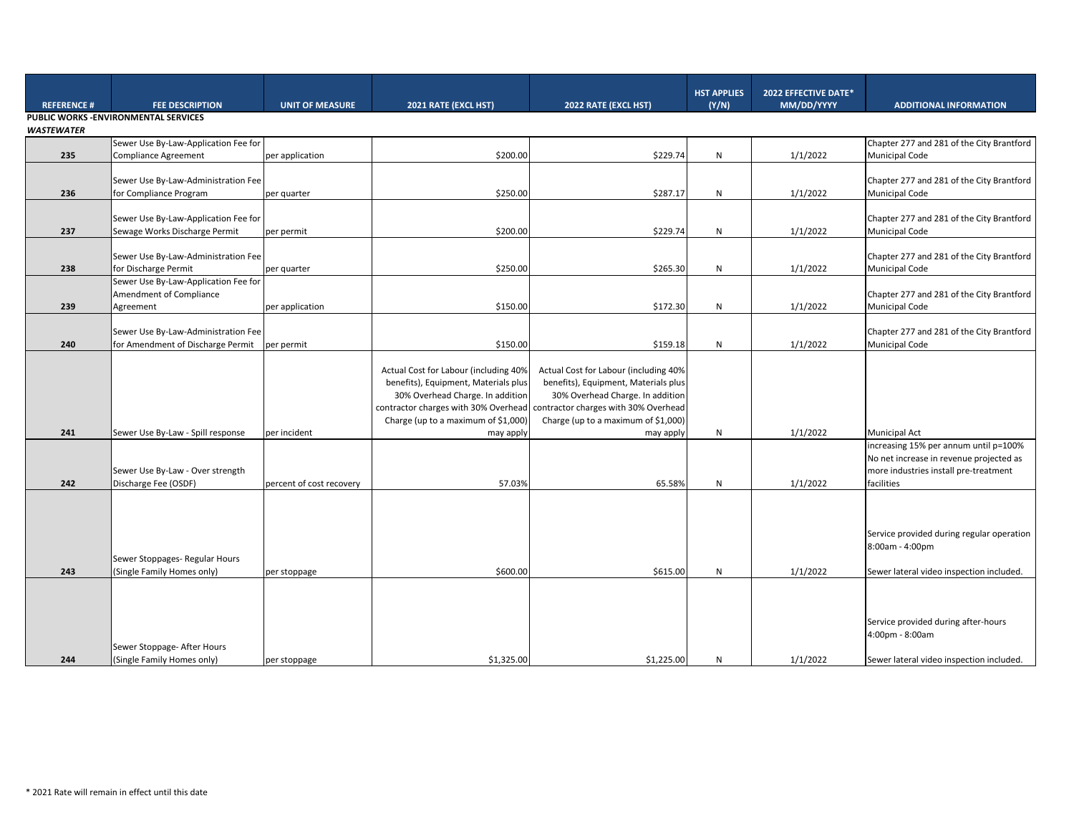|                                       |                                                               |                          |                                       |                                       | <b>HST APPLIES</b> | 2022 EFFECTIVE DATE* |                                                                    |  |
|---------------------------------------|---------------------------------------------------------------|--------------------------|---------------------------------------|---------------------------------------|--------------------|----------------------|--------------------------------------------------------------------|--|
| <b>REFERENCE#</b>                     | <b>FEE DESCRIPTION</b>                                        | <b>UNIT OF MEASURE</b>   | 2021 RATE (EXCL HST)                  | 2022 RATE (EXCL HST)                  | (Y/N)              | MM/DD/YYYY           | <b>ADDITIONAL INFORMATION</b>                                      |  |
| PUBLIC WORKS - ENVIRONMENTAL SERVICES |                                                               |                          |                                       |                                       |                    |                      |                                                                    |  |
| <b>WASTEWATER</b>                     |                                                               |                          |                                       |                                       |                    |                      |                                                                    |  |
|                                       | Sewer Use By-Law-Application Fee for                          |                          |                                       |                                       |                    |                      | Chapter 277 and 281 of the City Brantford                          |  |
| 235                                   | <b>Compliance Agreement</b>                                   | per application          | \$200.00                              | \$229.74                              | N                  | 1/1/2022             | <b>Municipal Code</b>                                              |  |
|                                       |                                                               |                          |                                       |                                       |                    |                      |                                                                    |  |
| 236                                   | Sewer Use By-Law-Administration Fee<br>for Compliance Program |                          | \$250.00                              | \$287.17                              | N                  | 1/1/2022             | Chapter 277 and 281 of the City Brantford<br><b>Municipal Code</b> |  |
|                                       |                                                               | per quarter              |                                       |                                       |                    |                      |                                                                    |  |
|                                       | Sewer Use By-Law-Application Fee for                          |                          |                                       |                                       |                    |                      | Chapter 277 and 281 of the City Brantford                          |  |
| 237                                   | Sewage Works Discharge Permit                                 | per permit               | \$200.00                              | \$229.74                              | N                  | 1/1/2022             | <b>Municipal Code</b>                                              |  |
|                                       |                                                               |                          |                                       |                                       |                    |                      |                                                                    |  |
|                                       | Sewer Use By-Law-Administration Fee                           |                          |                                       |                                       |                    |                      | Chapter 277 and 281 of the City Brantford                          |  |
| 238                                   | for Discharge Permit                                          | per quarter              | \$250.00                              | \$265.30                              | N                  | 1/1/2022             | <b>Municipal Code</b>                                              |  |
|                                       | Sewer Use By-Law-Application Fee for                          |                          |                                       |                                       |                    |                      |                                                                    |  |
|                                       | Amendment of Compliance                                       |                          |                                       |                                       |                    |                      | Chapter 277 and 281 of the City Brantford                          |  |
| 239                                   | Agreement                                                     | per application          | \$150.00                              | \$172.30                              | N                  | 1/1/2022             | <b>Municipal Code</b>                                              |  |
|                                       |                                                               |                          |                                       |                                       |                    |                      |                                                                    |  |
|                                       | Sewer Use By-Law-Administration Fee                           |                          |                                       |                                       |                    |                      | Chapter 277 and 281 of the City Brantford                          |  |
| 240                                   | for Amendment of Discharge Permit                             | per permit               | \$150.00                              | \$159.18                              | N                  | 1/1/2022             | <b>Municipal Code</b>                                              |  |
|                                       |                                                               |                          |                                       |                                       |                    |                      |                                                                    |  |
|                                       |                                                               |                          | Actual Cost for Labour (including 40% | Actual Cost for Labour (including 40% |                    |                      |                                                                    |  |
|                                       |                                                               |                          | benefits), Equipment, Materials plus  | benefits), Equipment, Materials plus  |                    |                      |                                                                    |  |
|                                       |                                                               |                          | 30% Overhead Charge. In addition      | 30% Overhead Charge. In addition      |                    |                      |                                                                    |  |
|                                       |                                                               |                          | contractor charges with 30% Overhead  | contractor charges with 30% Overhead  |                    |                      |                                                                    |  |
|                                       |                                                               |                          | Charge (up to a maximum of \$1,000)   | Charge (up to a maximum of \$1,000)   |                    |                      |                                                                    |  |
| 241                                   | Sewer Use By-Law - Spill response                             | per incident             | may apply                             | may apply                             | N                  | 1/1/2022             | <b>Municipal Act</b>                                               |  |
|                                       |                                                               |                          |                                       |                                       |                    |                      | increasing 15% per annum until p=100%                              |  |
|                                       |                                                               |                          |                                       |                                       |                    |                      | No net increase in revenue projected as                            |  |
| 242                                   | Sewer Use By-Law - Over strength<br>Discharge Fee (OSDF)      | percent of cost recovery | 57.03%                                | 65.58%                                | N                  | 1/1/2022             | more industries install pre-treatment<br>facilities                |  |
|                                       |                                                               |                          |                                       |                                       |                    |                      |                                                                    |  |
|                                       |                                                               |                          |                                       |                                       |                    |                      |                                                                    |  |
|                                       |                                                               |                          |                                       |                                       |                    |                      |                                                                    |  |
|                                       |                                                               |                          |                                       |                                       |                    |                      | Service provided during regular operation                          |  |
|                                       |                                                               |                          |                                       |                                       |                    |                      | 8:00am - 4:00pm                                                    |  |
|                                       | Sewer Stoppages- Regular Hours                                |                          |                                       |                                       |                    |                      |                                                                    |  |
| 243                                   | (Single Family Homes only)                                    | per stoppage             | \$600.00                              | \$615.00                              | N                  | 1/1/2022             | Sewer lateral video inspection included.                           |  |
|                                       |                                                               |                          |                                       |                                       |                    |                      |                                                                    |  |
|                                       |                                                               |                          |                                       |                                       |                    |                      |                                                                    |  |
|                                       |                                                               |                          |                                       |                                       |                    |                      |                                                                    |  |
|                                       |                                                               |                          |                                       |                                       |                    |                      | Service provided during after-hours                                |  |
|                                       |                                                               |                          |                                       |                                       |                    |                      | 4:00pm - 8:00am                                                    |  |
|                                       | Sewer Stoppage- After Hours                                   |                          |                                       |                                       |                    |                      |                                                                    |  |
| 244                                   | (Single Family Homes only)                                    | per stoppage             | \$1,325.00                            | \$1,225.00                            | N                  | 1/1/2022             | Sewer lateral video inspection included.                           |  |